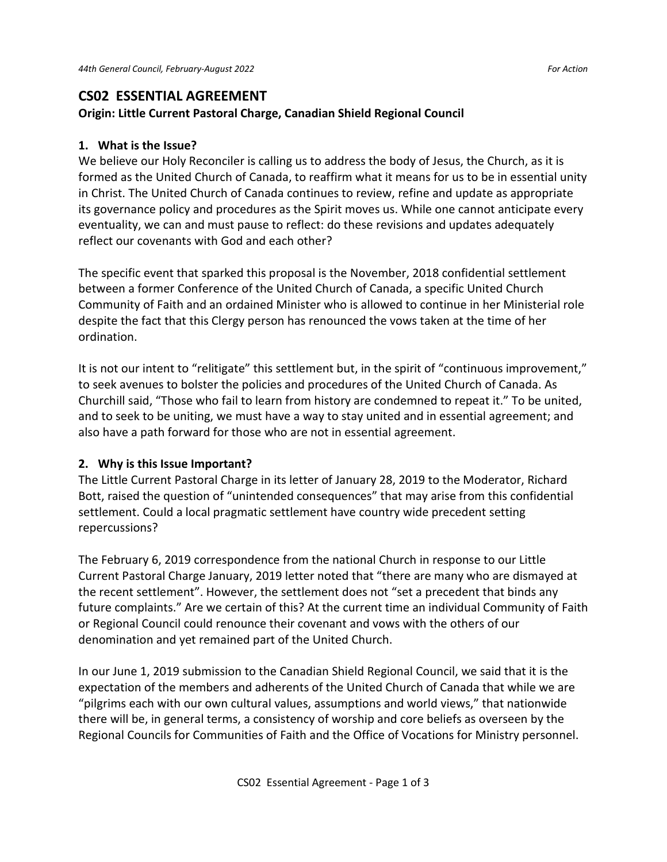# **CS02 ESSENTIAL AGREEMENT**

### **Origin: Little Current Pastoral Charge, Canadian Shield Regional Council**

## **1. What is the Issue?**

We believe our Holy Reconciler is calling us to address the body of Jesus, the Church, as it is formed as the United Church of Canada, to reaffirm what it means for us to be in essential unity in Christ. The United Church of Canada continues to review, refine and update as appropriate its governance policy and procedures as the Spirit moves us. While one cannot anticipate every eventuality, we can and must pause to reflect: do these revisions and updates adequately reflect our covenants with God and each other?

The specific event that sparked this proposal is the November, 2018 confidential settlement between a former Conference of the United Church of Canada, a specific United Church Community of Faith and an ordained Minister who is allowed to continue in her Ministerial role despite the fact that this Clergy person has renounced the vows taken at the time of her ordination.

It is not our intent to "relitigate" this settlement but, in the spirit of "continuous improvement," to seek avenues to bolster the policies and procedures of the United Church of Canada. As Churchill said, "Those who fail to learn from history are condemned to repeat it." To be united, and to seek to be uniting, we must have a way to stay united and in essential agreement; and also have a path forward for those who are not in essential agreement.

## **2. Why is this Issue Important?**

The Little Current Pastoral Charge in its letter of January 28, 2019 to the Moderator, Richard Bott, raised the question of "unintended consequences" that may arise from this confidential settlement. Could a local pragmatic settlement have country wide precedent setting repercussions?

The February 6, 2019 correspondence from the national Church in response to our Little Current Pastoral Charge January, 2019 letter noted that "there are many who are dismayed at the recent settlement". However, the settlement does not "set a precedent that binds any future complaints." Are we certain of this? At the current time an individual Community of Faith or Regional Council could renounce their covenant and vows with the others of our denomination and yet remained part of the United Church.

In our June 1, 2019 submission to the Canadian Shield Regional Council, we said that it is the expectation of the members and adherents of the United Church of Canada that while we are "pilgrims each with our own cultural values, assumptions and world views," that nationwide there will be, in general terms, a consistency of worship and core beliefs as overseen by the Regional Councils for Communities of Faith and the Office of Vocations for Ministry personnel.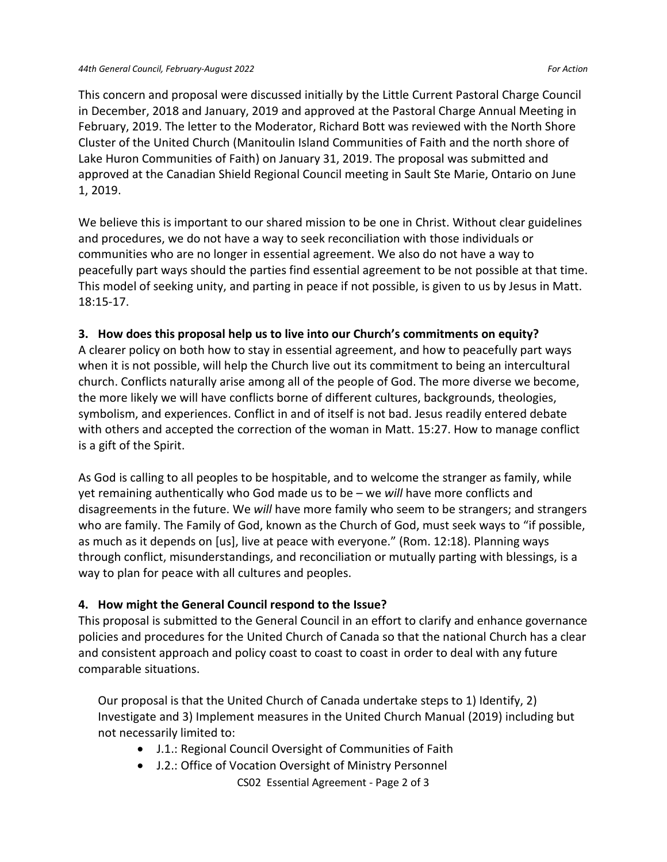This concern and proposal were discussed initially by the Little Current Pastoral Charge Council in December, 2018 and January, 2019 and approved at the Pastoral Charge Annual Meeting in February, 2019. The letter to the Moderator, Richard Bott was reviewed with the North Shore Cluster of the United Church (Manitoulin Island Communities of Faith and the north shore of Lake Huron Communities of Faith) on January 31, 2019. The proposal was submitted and approved at the Canadian Shield Regional Council meeting in Sault Ste Marie, Ontario on June 1, 2019.

We believe this is important to our shared mission to be one in Christ. Without clear guidelines and procedures, we do not have a way to seek reconciliation with those individuals or communities who are no longer in essential agreement. We also do not have a way to peacefully part ways should the parties find essential agreement to be not possible at that time. This model of seeking unity, and parting in peace if not possible, is given to us by Jesus in Matt. 18:15-17.

#### **3. How does this proposal help us to live into our Church's commitments on equity?**

A clearer policy on both how to stay in essential agreement, and how to peacefully part ways when it is not possible, will help the Church live out its commitment to being an intercultural church. Conflicts naturally arise among all of the people of God. The more diverse we become, the more likely we will have conflicts borne of different cultures, backgrounds, theologies, symbolism, and experiences. Conflict in and of itself is not bad. Jesus readily entered debate with others and accepted the correction of the woman in Matt. 15:27. How to manage conflict is a gift of the Spirit.

As God is calling to all peoples to be hospitable, and to welcome the stranger as family, while yet remaining authentically who God made us to be – we *will* have more conflicts and disagreements in the future. We *will* have more family who seem to be strangers; and strangers who are family. The Family of God, known as the Church of God, must seek ways to "if possible, as much as it depends on [us], live at peace with everyone." (Rom. 12:18). Planning ways through conflict, misunderstandings, and reconciliation or mutually parting with blessings, is a way to plan for peace with all cultures and peoples.

#### **4. How might the General Council respond to the Issue?**

This proposal is submitted to the General Council in an effort to clarify and enhance governance policies and procedures for the United Church of Canada so that the national Church has a clear and consistent approach and policy coast to coast to coast in order to deal with any future comparable situations.

Our proposal is that the United Church of Canada undertake steps to 1) Identify, 2) Investigate and 3) Implement measures in the United Church Manual (2019) including but not necessarily limited to:

- J.1.: Regional Council Oversight of Communities of Faith
- CS02 Essential Agreement Page 2 of 3 • J.2.: Office of Vocation Oversight of Ministry Personnel